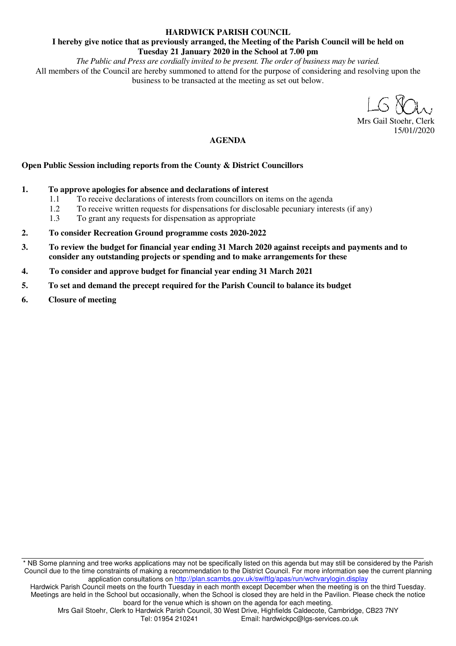#### **HARDWICK PARISH COUNCIL**

#### **I hereby give notice that as previously arranged, the Meeting of the Parish Council will be held on Tuesday 21 January 2020 in the School at 7.00 pm**

*The Public and Press are cordially invited to be present. The order of business may be varied.*  All members of the Council are hereby summoned to attend for the purpose of considering and resolving upon the business to be transacted at the meeting as set out below.

Mrs Gail Stoehr, Clerk 15/01//2020

#### **AGENDA**

#### **Open Public Session including reports from the County & District Councillors**

- **1. To approve apologies for absence and declarations of interest** 
	- 1.1 To receive declarations of interests from councillors on items on the agenda
	- 1.2 To receive written requests for dispensations for disclosable pecuniary interests (if any)
	- 1.3 To grant any requests for dispensation as appropriate
- **2. To consider Recreation Ground programme costs 2020-2022**
- **3. To review the budget for financial year ending 31 March 2020 against receipts and payments and to consider any outstanding projects or spending and to make arrangements for these**
- **4. To consider and approve budget for financial year ending 31 March 2021**
- **5. To set and demand the precept required for the Parish Council to balance its budget**
- **6. Closure of meeting**

\* NB Some planning and tree works applications may not be specifically listed on this agenda but may still be considered by the Parish Council due to the time constraints of making a recommendation to the District Council. For more information see the current planning application consultations on http://plan.scambs.gov.uk/swiftlg/apas/run/wchvarylogin.display

Hardwick Parish Council meets on the fourth Tuesday in each month except December when the meeting is on the third Tuesday. Meetings are held in the School but occasionally, when the School is closed they are held in the Pavilion. Please check the notice board for the venue which is shown on the agenda for each meeting.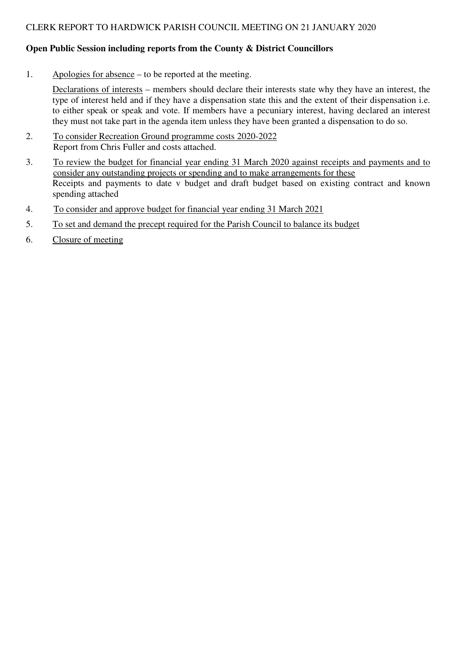### **Open Public Session including reports from the County & District Councillors**

1. Apologies for absence – to be reported at the meeting.

Declarations of interests – members should declare their interests state why they have an interest, the type of interest held and if they have a dispensation state this and the extent of their dispensation i.e. to either speak or speak and vote. If members have a pecuniary interest, having declared an interest they must not take part in the agenda item unless they have been granted a dispensation to do so.

- 2. To consider Recreation Ground programme costs 2020-2022 Report from Chris Fuller and costs attached.
- 3. To review the budget for financial year ending 31 March 2020 against receipts and payments and to consider any outstanding projects or spending and to make arrangements for these Receipts and payments to date v budget and draft budget based on existing contract and known spending attached
- 4. To consider and approve budget for financial year ending 31 March 2021
- 5. To set and demand the precept required for the Parish Council to balance its budget
- 6. Closure of meeting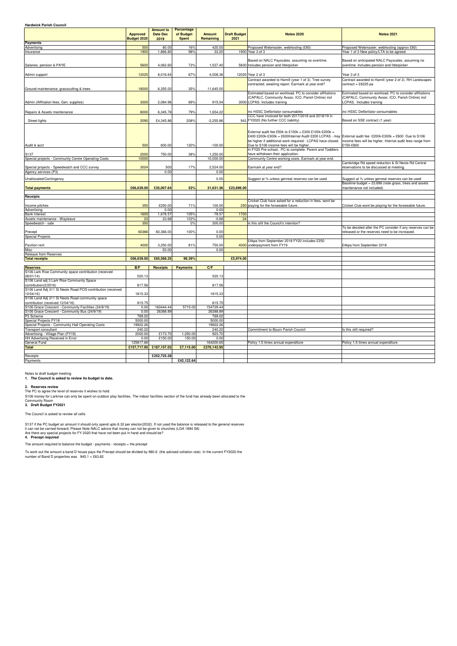| <b>Hardwick Parish Council</b>                                                      |                                |                                             |                                         |                            |                             |                                                                                                                                                                                                                                                                             |                                                                                                                                            |
|-------------------------------------------------------------------------------------|--------------------------------|---------------------------------------------|-----------------------------------------|----------------------------|-----------------------------|-----------------------------------------------------------------------------------------------------------------------------------------------------------------------------------------------------------------------------------------------------------------------------|--------------------------------------------------------------------------------------------------------------------------------------------|
|                                                                                     | <b>Approved</b><br>Budget 2020 | <b>Amount to</b><br><b>Date Dec</b><br>2019 | Percentage<br>of Budget<br><b>Spent</b> | <b>Amount</b><br>Remaining | <b>Draft Budget</b><br>2021 | <b>Notes 2020</b>                                                                                                                                                                                                                                                           | <b>Notes 2021</b>                                                                                                                          |
| <b>Payments</b>                                                                     |                                |                                             |                                         |                            |                             |                                                                                                                                                                                                                                                                             |                                                                                                                                            |
| Advertising                                                                         | 500                            | 80.00                                       | 16%                                     | 420.00                     |                             | Proposed Webmaster, webhosting (£80)                                                                                                                                                                                                                                        | Proposed Webmaster, webhosting (approx £80)                                                                                                |
| Insurance                                                                           | 1900                           | 1,866.80                                    | 98%                                     | 33.20                      |                             | 1900 Year 3 of 3                                                                                                                                                                                                                                                            | Year 1 of 3 New policy/LTA to be agreed.                                                                                                   |
| Salaries, pension & PAYE                                                            | 5600                           | 4,062.60                                    | 73%                                     | 1,537.40                   |                             | Based on NALC Payscales. assuming no overtime.<br>5830 Includes pension and litterpicker                                                                                                                                                                                    | Based on anticipated NALC Payscales. assuming no<br>overtime. Includes pension and litterpicker                                            |
| Admin support                                                                       | 12025                          | 8,016.64                                    | 67%                                     | 4,008.36                   |                             | 12025 Year 2 of 3                                                                                                                                                                                                                                                           | Year 3 of 3                                                                                                                                |
| Ground maintenance, grasscutting & trees                                            | 18000                          | 6,355.00                                    | 35%                                     | 11,645.00                  |                             | Contract awarded to Hamill (year 1 of 3). Tree survey<br>contracted, awaiting report. Earmark at year end?                                                                                                                                                                  | Contract awarded to Hamill (year 2 of 3). RH Landscapes<br>contract = £6225 pa                                                             |
| Admin (Affiliation fees, Gen. supplies)                                             | 3000                           | 2,084.96                                    | 69%                                     | 915.04                     |                             | Estimated based on workload. PC to consider affiliations<br>(CAPALC, Community Assoc. ICO, Parish Online) incl<br>3000 LCPAS. Includes training                                                                                                                             | Estimated based on workload. PC to consider affiliations<br>(CAPALC, Community Assoc. ICO, Parish Online) incl<br>LCPAS. Includes training |
| Repairs & Assets maintenance                                                        | 8000                           | 6,345.78                                    | 79%                                     | 1,654.22                   |                             | inc HSSC Defibrilator consumables                                                                                                                                                                                                                                           | inc HSSC Defibrilator consumables                                                                                                          |
| Street lights                                                                       | 2090                           | £4,345.86                                   | 208%                                    | $-2,255.86$                |                             | CCC have invoiced for both 2017/2018 and 2018/19 in<br>941 FY2020 (No further CCC liability)                                                                                                                                                                                | Based on SSE contract (1 year)                                                                                                             |
| Audit & acct                                                                        | 500                            | 600.00                                      | 120%                                    | $-100.00$                  |                             | External audit fee £50k to £100k = £300 £100k-£200k =<br>£400 £200k-£300k = £600 Internal Audit £200 LCPAS - may External audit fee £200k-£300k = £600 Due to S106<br>be higher if additional work required - LCPAS have closed.<br>Due to S106 income fees will be higher. | income fees will be higher. Internal audit fees range from<br>£150-£800                                                                    |
|                                                                                     |                                |                                             |                                         |                            |                             | In FY20 Pre-school, PC to complete. Parent and Toddlers                                                                                                                                                                                                                     |                                                                                                                                            |
| S137                                                                                | 2000                           | 750.00                                      | 38%                                     | 1,250.00                   |                             | have withdrawn their application.<br>Community Centre working costs. Earmark at year end.                                                                                                                                                                                   |                                                                                                                                            |
| Special projects - Community Centre Operating Costs                                 | 10000                          |                                             |                                         | 10,000.00                  |                             |                                                                                                                                                                                                                                                                             | Cambridge Rd speed reduction & St Neots Rd Central                                                                                         |
| Special projects - Speedwatch and CCC survey                                        | 3024                           | 500                                         | 17%                                     | 2,524.00                   |                             | Earmark at year end?                                                                                                                                                                                                                                                        | reservations to be discussed at meeting                                                                                                    |
| Agency services (P3)                                                                |                                | 0.00                                        |                                         | 0.00                       |                             |                                                                                                                                                                                                                                                                             |                                                                                                                                            |
| Unallocated/Contingency                                                             |                                |                                             |                                         | 0.00                       |                             | Suggest at % unless genreal reserves can be used                                                                                                                                                                                                                            | Suggest at % unless genreal reserves can be used<br>Baseline budget = 23,696 (note grass, trees and assets                                 |
| <b>Total payments</b>                                                               | £66,639.00                     | £35,007.64                                  | 53%                                     | 31,631.36                  | £23,696.00                  |                                                                                                                                                                                                                                                                             | maintenance not included)                                                                                                                  |
| Receipts                                                                            |                                |                                             |                                         |                            |                             |                                                                                                                                                                                                                                                                             |                                                                                                                                            |
| Income pitches                                                                      | 350                            | £250.00                                     | 71%                                     | 100.00                     |                             | Cricket Club have asked for a reduction in fees, wont be<br>250 playing for the forseeable future.                                                                                                                                                                          | Cricket Club wont be playing for the forseeable future.                                                                                    |
| Advertising                                                                         |                                | 0.00                                        |                                         | 0.00                       |                             |                                                                                                                                                                                                                                                                             |                                                                                                                                            |
| <b>Bank Interest</b>                                                                | 1600                           | 1,678.57                                    | 105%                                    | $-78.57$                   | 1700                        |                                                                                                                                                                                                                                                                             |                                                                                                                                            |
| Assets maintenance - Wayleave                                                       | 23                             | 23.68                                       | 103%                                    | $-0.68$                    | 24                          |                                                                                                                                                                                                                                                                             |                                                                                                                                            |
| Speedwatch - sale                                                                   | 300                            |                                             | 0%                                      | 300.00                     |                             | is this still the Council's intention?                                                                                                                                                                                                                                      | To be decided after the PC consider if any reserves can be                                                                                 |
| Precept                                                                             | 60366                          | 60,366.00                                   | 100%                                    | 0.00                       |                             |                                                                                                                                                                                                                                                                             | released or the reserves need to be increased.                                                                                             |
| Special Projects                                                                    |                                |                                             |                                         | 0.00                       |                             |                                                                                                                                                                                                                                                                             |                                                                                                                                            |
| Pavilion rent                                                                       | 4000                           | 3,250.00                                    | 81%                                     | 750.00                     |                             | £4kpa from September 2018 FY20 includes £250<br>4000 underpayment from FY19                                                                                                                                                                                                 | £4kpa from September 2018                                                                                                                  |
| Misc<br><b>Release from Reserves</b>                                                |                                | £0.00                                       |                                         | 0.00                       |                             |                                                                                                                                                                                                                                                                             |                                                                                                                                            |
| <b>Total receipts</b>                                                               | £66,639.00                     | £65,568.25                                  | 98.39%                                  |                            | £5,974.00                   |                                                                                                                                                                                                                                                                             |                                                                                                                                            |
|                                                                                     |                                |                                             |                                         |                            |                             |                                                                                                                                                                                                                                                                             |                                                                                                                                            |
| <b>Reserves</b>                                                                     | B/F                            |                                             | Receipts <b>Payments</b>                | C/F                        |                             |                                                                                                                                                                                                                                                                             |                                                                                                                                            |
| S106 Lark Rise Community space contribution (received<br>28/01/14                   | 520.13                         |                                             |                                         | 520.13                     |                             |                                                                                                                                                                                                                                                                             |                                                                                                                                            |
| S106 Land adj 3 Lark Rise Community Space<br>contribution(2/2016)                   | 817.56                         |                                             |                                         | 817.56                     |                             |                                                                                                                                                                                                                                                                             |                                                                                                                                            |
| S106 Land Adj 311 St Neots Road POS contribution (received<br>12/04/16              | 1815.33                        |                                             |                                         | 1815.33                    |                             |                                                                                                                                                                                                                                                                             |                                                                                                                                            |
| S106 Land Adj 311 St Neots Road community space<br>contribution (received 12/04/16) | 815.75                         |                                             |                                         | 815.75                     |                             |                                                                                                                                                                                                                                                                             |                                                                                                                                            |
| S106 Grace Crescent - Community Facilities (24/9/19)                                | 0.00                           | 160444.44                                   | 5715.00                                 | 154729.44                  |                             |                                                                                                                                                                                                                                                                             |                                                                                                                                            |
| S106 Grace Crescent - Community Bus (24/9/19)                                       | 0.00                           | 26388.89                                    |                                         | 26388.89                   |                             |                                                                                                                                                                                                                                                                             |                                                                                                                                            |
| P3 Scheme                                                                           | 769.02                         |                                             |                                         | 769.02                     |                             |                                                                                                                                                                                                                                                                             |                                                                                                                                            |
| Special Projects FY18                                                               | 5000.00                        |                                             |                                         | 5000.00                    |                             |                                                                                                                                                                                                                                                                             |                                                                                                                                            |
| Special Projects - Community Hall Operating Costs                                   | 19922.26                       |                                             |                                         | 19922.26                   |                             |                                                                                                                                                                                                                                                                             |                                                                                                                                            |
| <b>Transport consultant</b>                                                         | 240.22                         |                                             |                                         | 240.22                     |                             | Commitment to Bourn Parish Council                                                                                                                                                                                                                                          | Is this still required?                                                                                                                    |
| Advertising - Village Plan (FY19)                                                   | 2000.00                        | £173.70                                     | 1,250.00                                | 923.70                     |                             |                                                                                                                                                                                                                                                                             |                                                                                                                                            |
| HH Advertising Received in Error                                                    | 0.00                           | £150.00                                     | 150.00                                  | 0.00                       |                             |                                                                                                                                                                                                                                                                             |                                                                                                                                            |
| <b>General Fund</b>                                                                 | 125817.68                      |                                             |                                         | 164200.65                  |                             | Policy 1.5 times annual expenditure                                                                                                                                                                                                                                         | Policy 1.5 times annual expenditure                                                                                                        |
| <b>Total</b>                                                                        |                                | £157,717.95 £187,157.03                     | £7,115.00                               | £376,142.95                |                             |                                                                                                                                                                                                                                                                             |                                                                                                                                            |
|                                                                                     |                                |                                             |                                         |                            |                             |                                                                                                                                                                                                                                                                             |                                                                                                                                            |
| Receipts                                                                            |                                | £252,725.28                                 |                                         |                            |                             |                                                                                                                                                                                                                                                                             |                                                                                                                                            |
| Payments                                                                            |                                |                                             | £42,122.64                              |                            |                             |                                                                                                                                                                                                                                                                             |                                                                                                                                            |

To work out the amount a band D house pays the Precept should be divided by 980.6 (the advised collation rate). In the current FY2020 the number of Band D properties was  $945.1 = £63.82$ 

Notes to draft budget meeting

#### **2. Reserves review**

**3. Draft Budget FY2021**

#### **4. Precept required**

**1. The Council is asked to review its budget to date.**

The PC to agree the level of reserves it wishes to hold.

S137 if the PC budget an amount it should only spend upto 8.32 per elector(2032). If not used the balance is released to the general reserves it can not be carried forward. Please Note NALC advice that money can not be given to churches (LGA 1894 S8) Are there any special projects for FY 2020 that have not been put in hand and should be?

S106 money for Larkrise can only be spent on outdoor play facilities. The indoor facilities section of the fund has already been allocated to the Community Room

The amount required to balance the budget - payments - receipts = the precept

The Council is asked to review all cells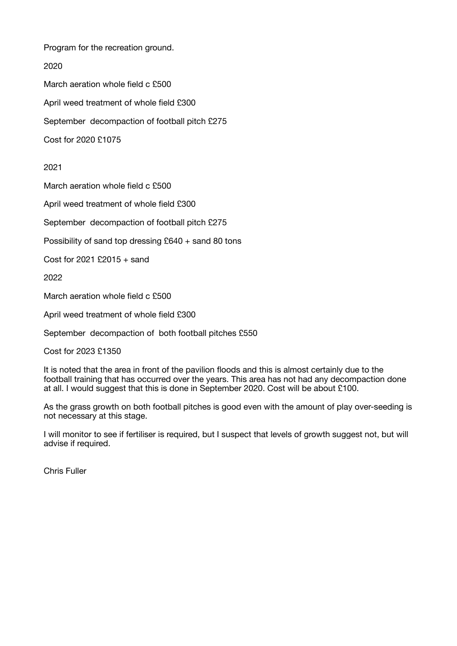Program for the recreation ground.

#### 2020

March aeration whole field c £500 April weed treatment of whole field £300 September decompaction of football pitch £275 Cost for 2020 £1075

### 2021

March aeration whole field c £500

April weed treatment of whole field £300

September decompaction of football pitch £275

Possibility of sand top dressing £640 + sand 80 tons

Cost for 2021 £2015 + sand

2022

March aeration whole field c £500

April weed treatment of whole field £300

September decompaction of both football pitches £550

Cost for 2023 £1350

It is noted that the area in front of the pavilion floods and this is almost certainly due to the football training that has occurred over the years. This area has not had any decompaction done at all. I would suggest that this is done in September 2020. Cost will be about £100.

As the grass growth on both football pitches is good even with the amount of play over-seeding is not necessary at this stage.

I will monitor to see if fertiliser is required, but I suspect that levels of growth suggest not, but will advise if required.

Chris Fuller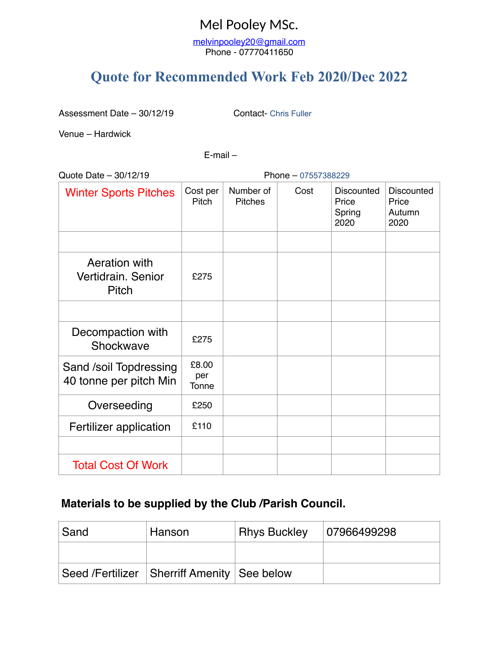## Mel Pooley MSc.

[melvinpooley20@gmail.com](mailto:melvinpooley20@gmail.com) Phone - 07770411650

# **Quote for Recommended Work Feb 2020/Dec 2022**

Assessment Date – 30/12/19 Contact- Chris Fuller

Venue – Hardwick

E-mail –

Quote Date – 30/12/19 Phone – 07557388229

| <b>Winter Sports Pitches</b>                        | Cost per<br>Pitch     | Number of<br><b>Pitches</b> | Cost | <b>Discounted</b><br>Price<br>Spring<br>2020 | <b>Discounted</b><br>Price<br>Autumn<br>2020 |
|-----------------------------------------------------|-----------------------|-----------------------------|------|----------------------------------------------|----------------------------------------------|
|                                                     |                       |                             |      |                                              |                                              |
| Aeration with<br>Vertidrain, Senior<br><b>Pitch</b> | £275                  |                             |      |                                              |                                              |
|                                                     |                       |                             |      |                                              |                                              |
| Decompaction with<br>Shockwave                      | £275                  |                             |      |                                              |                                              |
| Sand /soil Topdressing<br>40 tonne per pitch Min    | £8.00<br>per<br>Tonne |                             |      |                                              |                                              |
| Overseeding                                         | £250                  |                             |      |                                              |                                              |
| Fertilizer application                              | £110                  |                             |      |                                              |                                              |
|                                                     |                       |                             |      |                                              |                                              |
| <b>Total Cost Of Work</b>                           |                       |                             |      |                                              |                                              |

### **Materials to be supplied by the Club /Parish Council.**

| Sand | Hanson                                      | <b>Rhys Buckley</b> | 07966499298 |
|------|---------------------------------------------|---------------------|-------------|
|      |                                             |                     |             |
|      | Seed /Fertilizer Sherriff Amenity See below |                     |             |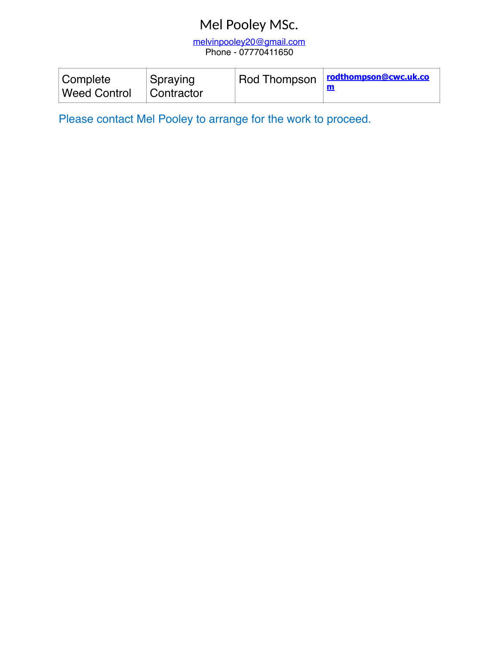## Mel Pooley MSc.

[melvinpooley20@gmail.com](mailto:melvinpooley20@gmail.com) Phone - 07770411650

| <b>Complete</b><br><b>Weed Control</b> | Spraying<br>Contractor | Rod Thompson | rodthompson@cwc.uk.co |
|----------------------------------------|------------------------|--------------|-----------------------|
|----------------------------------------|------------------------|--------------|-----------------------|

Please contact Mel Pooley to arrange for the work to proceed.